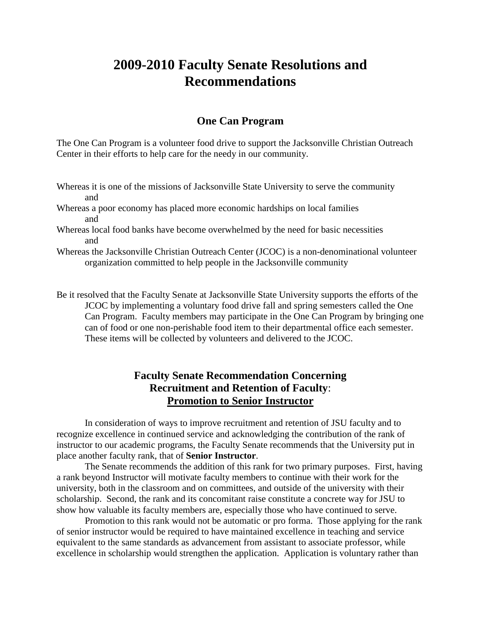## **2009-2010 Faculty Senate Resolutions and Recommendations**

## **One Can Program**

The One Can Program is a volunteer food drive to support the Jacksonville Christian Outreach Center in their efforts to help care for the needy in our community.

- Whereas it is one of the missions of Jacksonville State University to serve the community and
- Whereas a poor economy has placed more economic hardships on local families and
- Whereas local food banks have become overwhelmed by the need for basic necessities and
- Whereas the Jacksonville Christian Outreach Center (JCOC) is a non-denominational volunteer organization committed to help people in the Jacksonville community

Be it resolved that the Faculty Senate at Jacksonville State University supports the efforts of the JCOC by implementing a voluntary food drive fall and spring semesters called the One Can Program. Faculty members may participate in the One Can Program by bringing one can of food or one non-perishable food item to their departmental office each semester. These items will be collected by volunteers and delivered to the JCOC.

## **Faculty Senate Recommendation Concerning Recruitment and Retention of Faculty**: **Promotion to Senior Instructor**

In consideration of ways to improve recruitment and retention of JSU faculty and to recognize excellence in continued service and acknowledging the contribution of the rank of instructor to our academic programs, the Faculty Senate recommends that the University put in place another faculty rank, that of **Senior Instructor**.

The Senate recommends the addition of this rank for two primary purposes. First, having a rank beyond Instructor will motivate faculty members to continue with their work for the university, both in the classroom and on committees, and outside of the university with their scholarship. Second, the rank and its concomitant raise constitute a concrete way for JSU to show how valuable its faculty members are, especially those who have continued to serve.

Promotion to this rank would not be automatic or pro forma. Those applying for the rank of senior instructor would be required to have maintained excellence in teaching and service equivalent to the same standards as advancement from assistant to associate professor, while excellence in scholarship would strengthen the application. Application is voluntary rather than